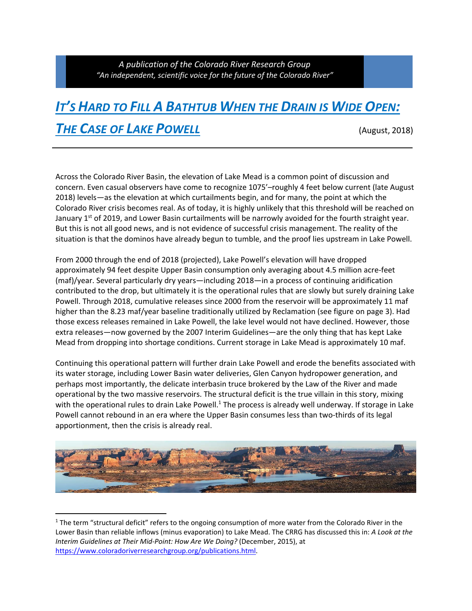## *IT'S HARD TO FILL A BATHTUB WHEN THE DRAIN IS WIDE OPEN:* **THE CASE OF LAKE POWELL** (August, 2018)

Across the Colorado River Basin, the elevation of Lake Mead is a common point of discussion and concern. Even casual observers have come to recognize 1075'–roughly 4 feet below current (late August 2018) levels—as the elevation at which curtailments begin, and for many, the point at which the Colorado River crisis becomes real. As of today, it is highly unlikely that this threshold will be reached on January 1<sup>st</sup> of 2019, and Lower Basin curtailments will be narrowly avoided for the fourth straight year. But this is not all good news, and is not evidence of successful crisis management. The reality of the situation is that the dominos have already begun to tumble, and the proof lies upstream in Lake Powell.

From 2000 through the end of 2018 (projected), Lake Powell's elevation will have dropped approximately 94 feet despite Upper Basin consumption only averaging about 4.5 million acre‐feet (maf)/year. Several particularly dry years—including 2018—in a process of continuing aridification contributed to the drop, but ultimately it is the operational rules that are slowly but surely draining Lake Powell. Through 2018, cumulative releases since 2000 from the reservoir will be approximately 11 maf higher than the 8.23 maf/year baseline traditionally utilized by Reclamation (see figure on page 3). Had those excess releases remained in Lake Powell, the lake level would not have declined. However, those extra releases—now governed by the 2007 Interim Guidelines—are the only thing that has kept Lake Mead from dropping into shortage conditions. Current storage in Lake Mead is approximately 10 maf.

Continuing this operational pattern will further drain Lake Powell and erode the benefits associated with its water storage, including Lower Basin water deliveries, Glen Canyon hydropower generation, and perhaps most importantly, the delicate interbasin truce brokered by the Law of the River and made operational by the two massive reservoirs. The structural deficit is the true villain in this story, mixing with the operational rules to drain Lake Powell.<sup>1</sup> The process is already well underway. If storage in Lake Powell cannot rebound in an era where the Upper Basin consumes less than two‐thirds of its legal apportionment, then the crisis is already real.



<sup>&</sup>lt;sup>1</sup> The term "structural deficit" refers to the ongoing consumption of more water from the Colorado River in the Lower Basin than reliable inflows (minus evaporation) to Lake Mead. The CRRG has discussed this in: *A Look at the Interim Guidelines at Their Mid‐Point: How Are We Doing?* (December, 2015), at https://www.coloradoriverresearchgroup.org/publications.html.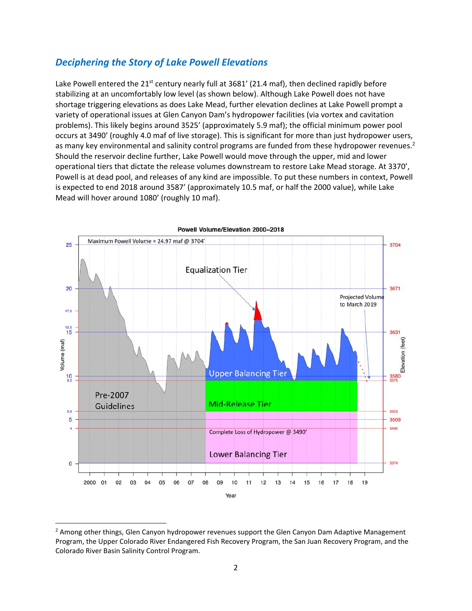## *Deciphering the Story of Lake Powell Elevations*

Lake Powell entered the 21<sup>st</sup> century nearly full at 3681' (21.4 maf), then declined rapidly before stabilizing at an uncomfortably low level (as shown below). Although Lake Powell does not have shortage triggering elevations as does Lake Mead, further elevation declines at Lake Powell prompt a variety of operational issues at Glen Canyon Dam's hydropower facilities (via vortex and cavitation problems). This likely begins around 3525' (approximately 5.9 maf); the official minimum power pool occurs at 3490' (roughly 4.0 maf of live storage). This is significant for more than just hydropower users, as many key environmental and salinity control programs are funded from these hydropower revenues.<sup>2</sup> Should the reservoir decline further, Lake Powell would move through the upper, mid and lower operational tiers that dictate the release volumes downstream to restore Lake Mead storage. At 3370', Powell is at dead pool, and releases of any kind are impossible. To put these numbers in context, Powell is expected to end 2018 around 3587' (approximately 10.5 maf, or half the 2000 value), while Lake Mead will hover around 1080' (roughly 10 maf).



 $<sup>2</sup>$  Among other things, Glen Canyon hydropower revenues support the Glen Canyon Dam Adaptive Management</sup> Program, the Upper Colorado River Endangered Fish Recovery Program, the San Juan Recovery Program, and the Colorado River Basin Salinity Control Program.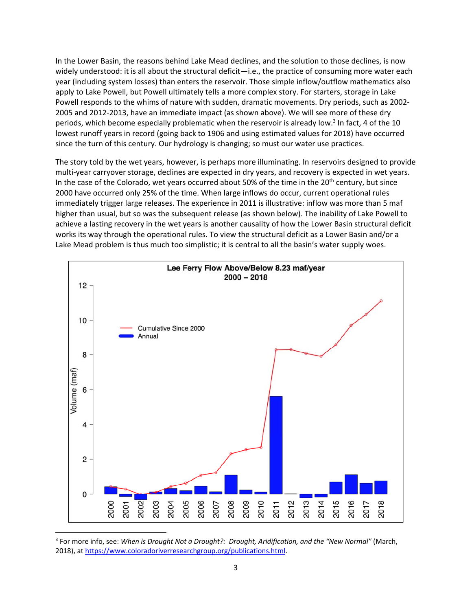In the Lower Basin, the reasons behind Lake Mead declines, and the solution to those declines, is now widely understood: it is all about the structural deficit—i.e., the practice of consuming more water each year (including system losses) than enters the reservoir. Those simple inflow/outflow mathematics also apply to Lake Powell, but Powell ultimately tells a more complex story. For starters, storage in Lake Powell responds to the whims of nature with sudden, dramatic movements. Dry periods, such as 2002‐ 2005 and 2012‐2013, have an immediate impact (as shown above). We will see more of these dry periods, which become especially problematic when the reservoir is already low. $3$  In fact, 4 of the 10 lowest runoff years in record (going back to 1906 and using estimated values for 2018) have occurred since the turn of this century. Our hydrology is changing; so must our water use practices.

The story told by the wet years, however, is perhaps more illuminating. In reservoirs designed to provide multi-year carryover storage, declines are expected in dry years, and recovery is expected in wet years. In the case of the Colorado, wet years occurred about 50% of the time in the 20<sup>th</sup> century, but since 2000 have occurred only 25% of the time. When large inflows do occur, current operational rules immediately trigger large releases. The experience in 2011 is illustrative: inflow was more than 5 maf higher than usual, but so was the subsequent release (as shown below). The inability of Lake Powell to achieve a lasting recovery in the wet years is another causality of how the Lower Basin structural deficit works its way through the operational rules. To view the structural deficit as a Lower Basin and/or a Lake Mead problem is thus much too simplistic; it is central to all the basin's water supply woes.



<sup>3</sup> For more info, see: *When is Drought Not a Drought?: Drought, Aridification, and the "New Normal"* (March, 2018), at https://www.coloradoriverresearchgroup.org/publications.html.